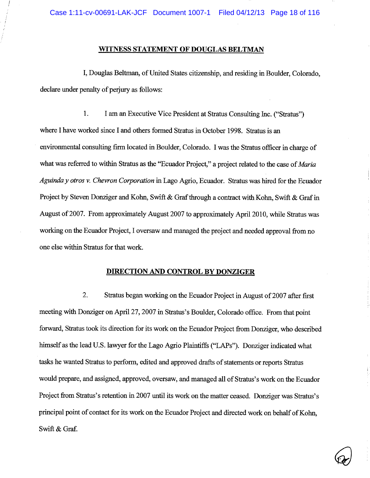#### WITNESS STATEMENT OF DOUGLAS BELTMAN

I, Douglas Beltman, of United States citizenship, and residing in Boulder, Colorado, declare under penalty of perjury as follows:

1. I am an Executive Vice President at Stratus Consulting Inc. ("Stratus") where I have worked since I and others formed Stratus in October 1998. Stratus is an environmental consulting firm located in Boulder, Colorado. I was the Stratus officer in charge of what was referred to within Stratus as the "Ecuador Project," a project related to the case of Maria Aguinda y otros v. Chevron Corporation in Lago Agrio, Ecuador. Stratus was hired for the Ecuador Project by Steven Donziger and Kohn, Swift & Graf through a contract with Kohn, Swift & Graf in August of 2007. From approximately August 2007 to approximately April 2010, while Stratus was working on the Ecuador Project, I oversaw and managed the project and needed approval from no one else within Stratus for that work.

#### **DIRECTION AND CONTROL BY DONZIGER**

 $\overline{2}$ . Stratus began working on the Ecuador Project in August of 2007 after first meeting with Donziger on April 27, 2007 in Stratus's Boulder, Colorado office. From that point forward, Stratus took its direction for its work on the Ecuador Project from Donziger, who described himself as the lead U.S. lawyer for the Lago Agrio Plaintiffs ("LAPs"). Donziger indicated what tasks he wanted Stratus to perform, edited and approved drafts of statements or reports Stratus would prepare, and assigned, approved, oversaw, and managed all of Stratus's work on the Ecuador Project from Stratus's retention in 2007 until its work on the matter ceased. Donziger was Stratus's principal point of contact for its work on the Ecuador Project and directed work on behalf of Kohn, Swift & Graf.

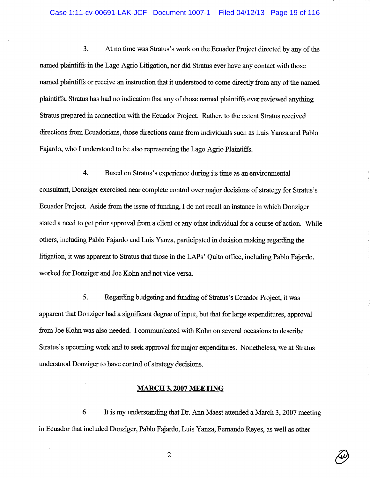#### Case 1:11-cv-00691-LAK-JCF Document 1007-1 Filed 04/12/13 Page 19 of 116

3. At no time was Stratus's work on the Ecuador Project directed by any of the named plaintiffs in the Lago Agrio Litigation, nor did Stratus ever have any contact with those named plaintiffs or receive an instruction that it understood to come directly from any of the named plaintiffs. Stratus has had no indication that any of those named plaintiffs ever reviewed anything Stratus prepared in connection with the Ecuador Project. Rather, to the extent Stratus received directions from Ecuadorians, those directions came from individuals such as Luis Yanza and Pablo Fajardo, who I understood to be also representing the Lago Agrio Plaintiffs.

4. Based on Stratus's experience during its time as an environmental consultant, Donziger exercised near complete control over major decisions of strategy for Stratus's Ecuador Project. Aside from the issue of funding, I do not recall an instance in which Donziger stated a need to get prior approval from a client or any other individual for a course of action. While others, including Pablo Fajardo and Luis Yanza, participated in decision making regarding the litigation, it was apparent to Stratus that those in the LAPs' Quito office, including Pablo Fajardo, worked for Donziger and Joe Kohn and not vice versa.

5. Regarding budgeting and funding of Stratus's Ecuador Project, it was apparent that Donziger had a significant degree of input, but that for large expenditures, approval from Joe Kohn was also needed. I communicated with Kohn on several occasions to describe Stratus's upcoming work and to seek approval for major expenditures. Nonetheless, we at Stratus understood Donziger to have control of strategy decisions.

#### **MARCH 3, 2007 MEETING**

6. It is my understanding that Dr. Ann Maest attended a March 3, 2007 meeting in Ecuador that included Donziger, Pablo Fajardo, Luis Yanza, Fernando Reves, as well as other

 $\overline{2}$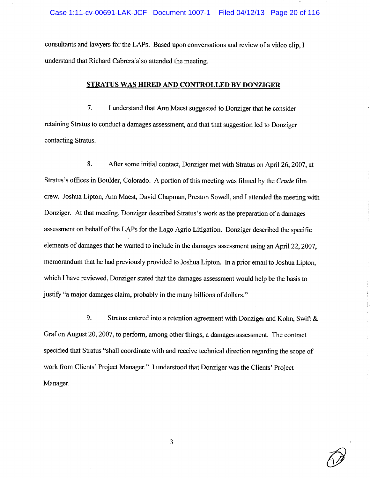consultants and lawyers for the LAPs. Based upon conversations and review of a video clip, I understand that Richard Cabrera also attended the meeting.

#### **STRATUS WAS HIRED AND CONTROLLED BY DONZIGER**

 $7.$ I understand that Ann Maest suggested to Donziger that he consider retaining Stratus to conduct a damages assessment, and that that suggestion led to Donziger contacting Stratus.

8. After some initial contact, Donziger met with Stratus on April 26, 2007, at Stratus's offices in Boulder, Colorado. A portion of this meeting was filmed by the Crude film crew. Joshua Lipton, Ann Maest, David Chapman, Preston Sowell, and I attended the meeting with Donziger. At that meeting, Donziger described Stratus's work as the preparation of a damages assessment on behalf of the LAPs for the Lago Agrio Litigation. Donziger described the specific elements of damages that he wanted to include in the damages assessment using an April 22, 2007, memorandum that he had previously provided to Joshua Lipton. In a prior email to Joshua Lipton, which I have reviewed, Donziger stated that the damages assessment would help be the basis to justify "a major damages claim, probably in the many billions of dollars."

9. Stratus entered into a retention agreement with Donziger and Kohn, Swift & Graf on August 20, 2007, to perform, among other things, a damages assessment. The contract specified that Stratus "shall coordinate with and receive technical direction regarding the scope of work from Clients' Project Manager." I understood that Donziger was the Clients' Project Manager.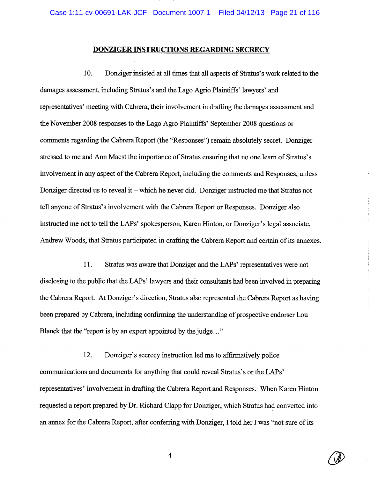## **DONZIGER INSTRUCTIONS REGARDING SECRECY**

10. Donziger insisted at all times that all aspects of Stratus's work related to the damages assessment, including Stratus's and the Lago Agrio Plaintiffs' lawyers' and representatives' meeting with Cabrera, their involvement in drafting the damages assessment and the November 2008 responses to the Lago Agro Plaintiffs' September 2008 questions or comments regarding the Cabrera Report (the "Responses") remain absolutely secret. Donziger stressed to me and Ann Maest the importance of Stratus ensuring that no one learn of Stratus's involvement in any aspect of the Cabrera Report, including the comments and Responses, unless Donziger directed us to reveal it – which he never did. Donziger instructed me that Stratus not tell anyone of Stratus's involvement with the Cabrera Report or Responses. Donziger also instructed me not to tell the LAPs' spokesperson, Karen Hinton, or Donziger's legal associate, Andrew Woods, that Stratus participated in drafting the Cabrera Report and certain of its annexes.

11. Stratus was aware that Donziger and the LAPs' representatives were not disclosing to the public that the LAPs' lawyers and their consultants had been involved in preparing the Cabrera Report. At Donziger's direction, Stratus also represented the Cabrera Report as having been prepared by Cabrera, including confirming the understanding of prospective endorser Lou Blanck that the "report is by an expert appointed by the judge..."

12. Donziger's secrecy instruction led me to affirmatively police communications and documents for anything that could reveal Stratus's or the LAPs' representatives' involvement in drafting the Cabrera Report and Responses. When Karen Hinton requested a report prepared by Dr. Richard Clapp for Donziger, which Stratus had converted into an annex for the Cabrera Report, after conferring with Donziger, I told her I was "not sure of its



 $\overline{\mathbf{4}}$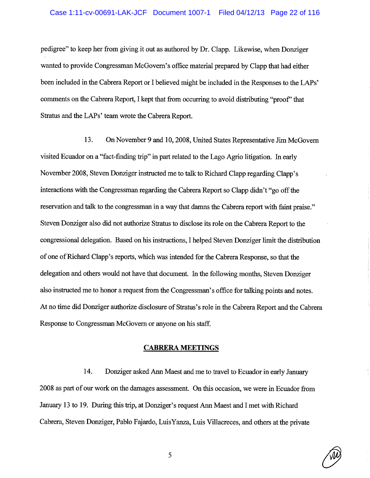#### Case 1:11-cv-00691-LAK-JCF Document 1007-1 Filed 04/12/13 Page 22 of 116

pedigree" to keep her from giving it out as authored by Dr. Clapp. Likewise, when Donziger wanted to provide Congressman McGovern's office material prepared by Clapp that had either been included in the Cabrera Report or I believed might be included in the Responses to the LAPs' comments on the Cabrera Report, I kept that from occurring to avoid distributing "proof" that Stratus and the LAPs' team wrote the Cabrera Report.

13. On November 9 and 10, 2008, United States Representative Jim McGovern visited Ecuador on a "fact-finding trip" in part related to the Lago Agrio litigation. In early November 2008, Steven Donziger instructed me to talk to Richard Clapp regarding Clapp's interactions with the Congressman regarding the Cabrera Report so Clapp didn't "go off the reservation and talk to the congressman in a way that damns the Cabrera report with faint praise." Steven Donziger also did not authorize Stratus to disclose its role on the Cabrera Report to the congressional delegation. Based on his instructions, I helped Steven Donziger limit the distribution of one of Richard Clapp's reports, which was intended for the Cabrera Response, so that the delegation and others would not have that document. In the following months, Steven Donziger also instructed me to honor a request from the Congressman's office for talking points and notes. At no time did Donziger authorize disclosure of Stratus's role in the Cabrera Report and the Cabrera Response to Congressman McGovern or anyone on his staff.

#### **CABRERA MEETINGS**

14. Donziger asked Ann Maest and me to travel to Ecuador in early January 2008 as part of our work on the damages assessment. On this occasion, we were in Ecuador from January 13 to 19. During this trip, at Donziger's request Ann Maest and I met with Richard Cabrera, Steven Donziger, Pablo Fajardo, Luis Yanza, Luis Villacreces, and others at the private

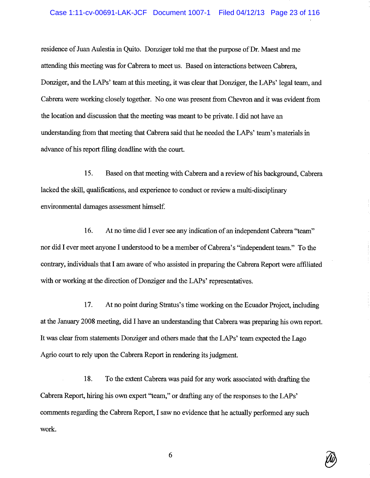#### Case 1:11-cv-00691-LAK-JCF Document 1007-1 Filed 04/12/13 Page 23 of 116

residence of Juan Aulestia in Quito. Donziger told me that the purpose of Dr. Maest and me attending this meeting was for Cabrera to meet us. Based on interactions between Cabrera, Donziger, and the LAPs' team at this meeting, it was clear that Donziger, the LAPs' legal team, and Cabrera were working closely together. No one was present from Chevron and it was evident from the location and discussion that the meeting was meant to be private. I did not have an understanding from that meeting that Cabrera said that he needed the LAPs' team's materials in advance of his report filing deadline with the court.

15. Based on that meeting with Cabrera and a review of his background, Cabrera lacked the skill, qualifications, and experience to conduct or review a multi-disciplinary environmental damages assessment himself.

16. At no time did I ever see any indication of an independent Cabrera "team" nor did I ever meet anyone I understood to be a member of Cabrera's "independent team." To the contrary, individuals that I am aware of who assisted in preparing the Cabrera Report were affiliated with or working at the direction of Donziger and the LAPs' representatives.

17. At no point during Stratus's time working on the Ecuador Project, including at the January 2008 meeting, did I have an understanding that Cabrera was preparing his own report. It was clear from statements Donziger and others made that the LAPs' team expected the Lago Agrio court to rely upon the Cabrera Report in rendering its judgment.

18. To the extent Cabrera was paid for any work associated with drafting the Cabrera Report, hiring his own expert "team," or drafting any of the responses to the LAPs' comments regarding the Cabrera Report, I saw no evidence that he actually performed any such work.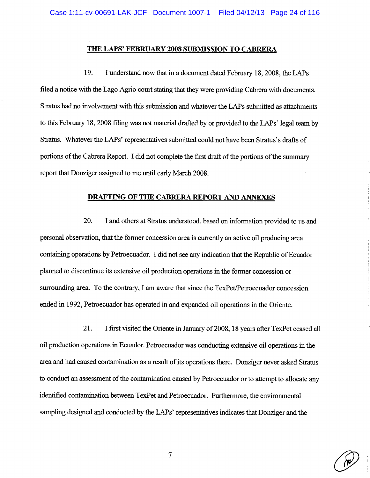#### **THE LAPS' FEBRUARY 2008 SUBMISSION TO CABRERA**

I understand now that in a document dated February 18, 2008, the LAPs 19. filed a notice with the Lago Agrio court stating that they were providing Cabrera with documents. Stratus had no involvement with this submission and whatever the LAPs submitted as attachments to this February 18, 2008 filing was not material drafted by or provided to the LAPs' legal team by Stratus. Whatever the LAPs' representatives submitted could not have been Stratus's drafts of portions of the Cabrera Report. I did not complete the first draft of the portions of the summary report that Donziger assigned to me until early March 2008.

### **DRAFTING OF THE CABRERA REPORT AND ANNEXES**

20. I and others at Stratus understood, based on information provided to us and personal observation, that the former concession area is currently an active oil producing area containing operations by Petroecuador. I did not see any indication that the Republic of Ecuador planned to discontinue its extensive oil production operations in the former concession or surrounding area. To the contrary, I am aware that since the TexPet/Petroecuador concession ended in 1992, Petroecuador has operated in and expanded oil operations in the Oriente.

21. I first visited the Oriente in January of 2008, 18 years after TexPet ceased all oil production operations in Ecuador. Petroecuador was conducting extensive oil operations in the area and had caused contamination as a result of its operations there. Donziger never asked Stratus to conduct an assessment of the contamination caused by Petroecuador or to attempt to allocate any identified contamination between TexPet and Petroecuador. Furthermore, the environmental sampling designed and conducted by the LAPs' representatives indicates that Donziger and the



 $\overline{\mathcal{L}}$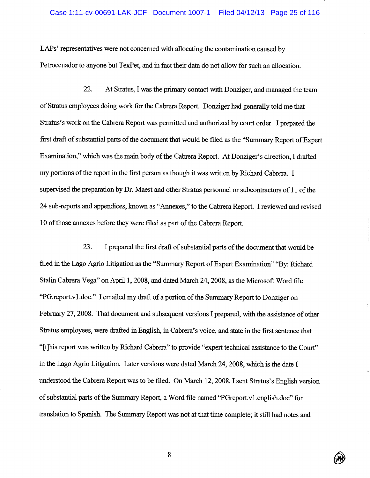#### Case 1:11-cv-00691-LAK-JCF Document 1007-1 Filed 04/12/13 Page 25 of 116

LAPs' representatives were not concerned with allocating the contamination caused by Petroecuador to anyone but TexPet, and in fact their data do not allow for such an allocation.

22. At Stratus, I was the primary contact with Donziger, and managed the team of Stratus employees doing work for the Cabrera Report. Donziger had generally told me that Stratus's work on the Cabrera Report was permitted and authorized by court order. I prepared the first draft of substantial parts of the document that would be filed as the "Summary Report of Expert Examination," which was the main body of the Cabrera Report. At Donziger's direction, I drafted my portions of the report in the first person as though it was written by Richard Cabrera. I supervised the preparation by Dr. Maest and other Stratus personnel or subcontractors of 11 of the 24 sub-reports and appendices, known as "Annexes," to the Cabrera Report. I reviewed and revised 10 of those annexes before they were filed as part of the Cabrera Report.

23. I prepared the first draft of substantial parts of the document that would be filed in the Lago Agrio Litigation as the "Summary Report of Expert Examination" "By: Richard" Stalin Cabrera Vega" on April 1, 2008, and dated March 24, 2008, as the Microsoft Word file "PG.report.v1.doc." I emailed my draft of a portion of the Summary Report to Donziger on February 27, 2008. That document and subsequent versions I prepared, with the assistance of other Stratus employees, were drafted in English, in Cabrera's voice, and state in the first sentence that "[t]his report was written by Richard Cabrera" to provide "expert technical assistance to the Court" in the Lago Agrio Litigation. Later versions were dated March 24, 2008, which is the date I understood the Cabrera Report was to be filed. On March 12, 2008, I sent Stratus's English version of substantial parts of the Summary Report, a Word file named "PGreport.v1.english.doc" for translation to Spanish. The Summary Report was not at that time complete; it still had notes and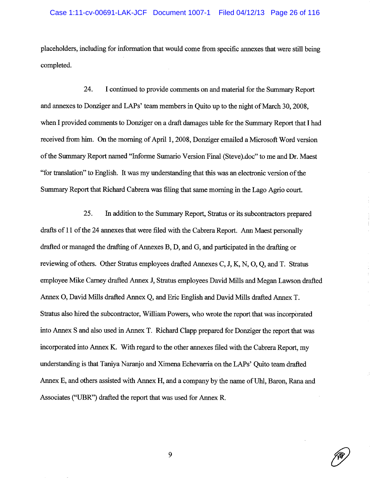placeholders, including for information that would come from specific annexes that were still being completed.

24. I continued to provide comments on and material for the Summary Report and annexes to Donziger and LAPs' team members in Quito up to the night of March 30, 2008, when I provided comments to Donziger on a draft damages table for the Summary Report that I had received from him. On the morning of April 1, 2008, Donziger emailed a Microsoft Word version of the Summary Report named "Informe Sumario Version Final (Steve).doc" to me and Dr. Maest "for translation" to English. It was my understanding that this was an electronic version of the Summary Report that Richard Cabrera was filing that same morning in the Lago Agrio court.

25. In addition to the Summary Report, Stratus or its subcontractors prepared drafts of 11 of the 24 annexes that were filed with the Cabrera Report. Ann Maest personally drafted or managed the drafting of Annexes B, D, and G, and participated in the drafting or reviewing of others. Other Stratus employees drafted Annexes C, J, K, N, O, Q, and T. Stratus employee Mike Carney drafted Annex J, Stratus employees David Mills and Megan Lawson drafted Annex O, David Mills drafted Annex Q, and Eric English and David Mills drafted Annex T. Stratus also hired the subcontractor, William Powers, who wrote the report that was incorporated into Annex S and also used in Annex T. Richard Clapp prepared for Donziger the report that was incorporated into Annex K. With regard to the other annexes filed with the Cabrera Report, my understanding is that Taniya Naranjo and Ximena Echevarria on the LAPs' Quito team drafted Annex E, and others assisted with Annex H, and a company by the name of Uhl, Baron, Rana and Associates ("UBR") drafted the report that was used for Annex R.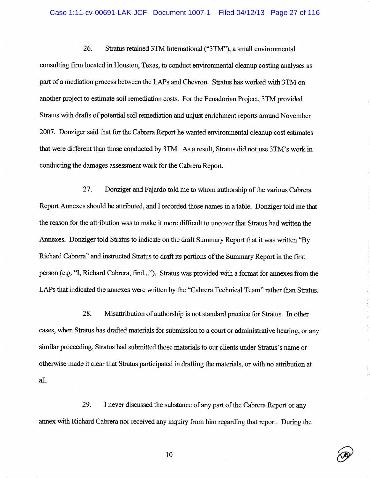#### Case 1:11-cv-00691-LAK-JCF Document 1007-1 Filed 04/12/13 Page 27 of 116

26. Stratus retained 3TM International ("3TM"), a small environmental consulting firm located in Houston, Texas, to conduct environmental cleanup costing analyses as part of a mediation process between the LAPs and Chevron. Stratus has worked with 3TM on another project to estimate soil remediation costs. For the Ecuadorian Project, 3TM provided Stratus with drafts of potential soil remediation and unjust enrichment reports around November 2007. Donziger said that for the Cabrera Report he wanted environmental cleanup cost estimates that were different than those conducted by 3TM. As a result, Stratus did not use 3TM's work in conducting the damages assessment work for the Cabrera Report.

27. Donziger and Fajardo told me to whom authorship of the various Cabrera Report Annexes should be attributed, and I recorded those names in a table. Donziger told me that the reason for the attribution was to make it more difficult to uncover that Stratus had written the Annexes. Donziger told Stratus to indicate on the draft Summary Report that it was written "By" Richard Cabrera" and instructed Stratus to draft its portions of the Summary Report in the first person (e.g. "I, Richard Cabrera, find..."). Stratus was provided with a format for annexes from the LAPs that indicated the annexes were written by the "Cabrera Technical Team" rather than Stratus.

28. Misattribution of authorship is not standard practice for Stratus. In other cases, when Stratus has drafted materials for submission to a court or administrative hearing, or any similar proceeding, Stratus had submitted those materials to our clients under Stratus's name or otherwise made it clear that Stratus participated in drafting the materials, or with no attribution at all.

29. I never discussed the substance of any part of the Cabrera Report or any annex with Richard Cabrera nor received any inquiry from him regarding that report. During the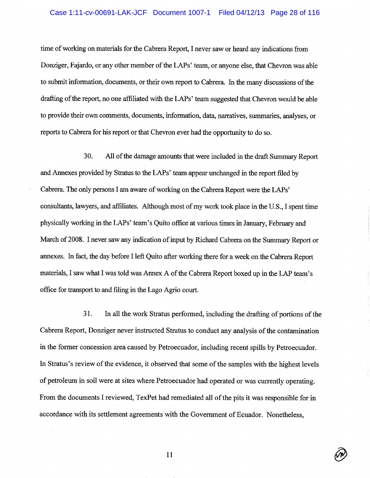#### Case 1:11-cv-00691-LAK-JCF Document 1007-1 Filed 04/12/13 Page 28 of 116

time of working on materials for the Cabrera Report, I never saw or heard any indications from Donziger, Fajardo, or any other member of the LAPs' team, or anyone else, that Chevron was able to submit information, documents, or their own report to Cabrera. In the many discussions of the drafting of the report, no one affiliated with the LAPs' team suggested that Chevron would be able to provide their own comments, documents, information, data, narratives, summaries, analyses, or reports to Cabrera for his report or that Chevron ever had the opportunity to do so.

30. All of the damage amounts that were included in the draft Summary Report and Annexes provided by Stratus to the LAPs' team appear unchanged in the report filed by Cabrera. The only persons I am aware of working on the Cabrera Report were the LAPs' consultants, lawyers, and affiliates. Although most of my work took place in the U.S., I spent time physically working in the LAPs' team's Quito office at various times in January, February and March of 2008. I never saw any indication of input by Richard Cabrera on the Summary Report or annexes. In fact, the day before I left Quito after working there for a week on the Cabrera Report materials, I saw what I was told was Annex A of the Cabrera Report boxed up in the LAP team's office for transport to and filing in the Lago Agrio court.

31. In all the work Stratus performed, including the drafting of portions of the Cabrera Report, Donziger never instructed Stratus to conduct any analysis of the contamination in the former concession area caused by Petroecuador, including recent spills by Petroecuador. In Stratus's review of the evidence, it observed that some of the samples with the highest levels of petroleum in soil were at sites where Petroecuador had operated or was currently operating. From the documents I reviewed, TexPet had remediated all of the pits it was responsible for in accordance with its settlement agreements with the Government of Ecuador. Nonetheless,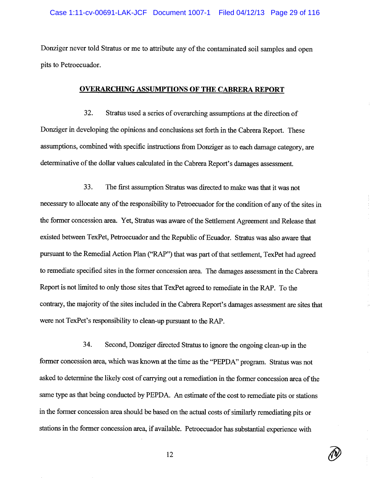Donziger never told Stratus or me to attribute any of the contaminated soil samples and open pits to Petroecuador.

### **OVERARCHING ASSUMPTIONS OF THE CABRERA REPORT**

32. Stratus used a series of overarching assumptions at the direction of Donziger in developing the opinions and conclusions set forth in the Cabrera Report. These assumptions, combined with specific instructions from Donziger as to each damage category, are determinative of the dollar values calculated in the Cabrera Report's damages assessment.

33. The first assumption Stratus was directed to make was that it was not necessary to allocate any of the responsibility to Petroecuador for the condition of any of the sites in the former concession area. Yet, Stratus was aware of the Settlement Agreement and Release that existed between TexPet, Petroecuador and the Republic of Ecuador. Stratus was also aware that pursuant to the Remedial Action Plan ("RAP") that was part of that settlement, TexPet had agreed to remediate specified sites in the former concession area. The damages assessment in the Cabrera Report is not limited to only those sites that TexPet agreed to remediate in the RAP. To the contrary, the majority of the sites included in the Cabrera Report's damages assessment are sites that were not TexPet's responsibility to clean-up pursuant to the RAP.

34. Second, Donziger directed Stratus to ignore the ongoing clean-up in the former concession area, which was known at the time as the "PEPDA" program. Stratus was not asked to determine the likely cost of carrying out a remediation in the former concession area of the same type as that being conducted by PEPDA. An estimate of the cost to remediate pits or stations in the former concession area should be based on the actual costs of similarly remediating pits or stations in the former concession area, if available. Petroecuador has substantial experience with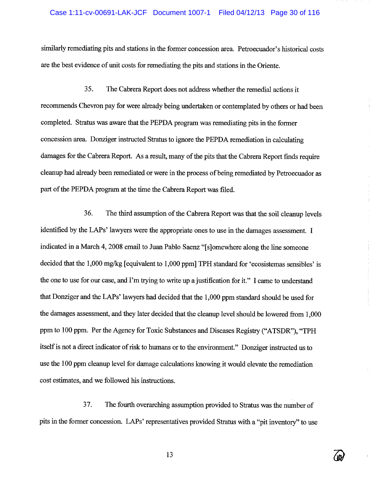#### Case 1:11-cv-00691-LAK-JCF Document 1007-1 Filed 04/12/13 Page 30 of 116

similarly remediating pits and stations in the former concession area. Petroecuador's historical costs are the best evidence of unit costs for remediating the pits and stations in the Oriente.

35. The Cabrera Report does not address whether the remedial actions it recommends Chevron pay for were already being undertaken or contemplated by others or had been completed. Stratus was aware that the PEPDA program was remediating pits in the former concession area. Donziger instructed Stratus to ignore the PEPDA remediation in calculating damages for the Cabrera Report. As a result, many of the pits that the Cabrera Report finds require cleanup had already been remediated or were in the process of being remediated by Petroecuador as part of the PEPDA program at the time the Cabrera Report was filed.

36. The third assumption of the Cabrera Report was that the soil cleanup levels identified by the LAPs' lawyers were the appropriate ones to use in the damages assessment. I indicated in a March 4, 2008 email to Juan Pablo Saenz "[s]omewhere along the line someone decided that the 1,000 mg/kg [equivalent to 1,000 ppm] TPH standard for 'ecosistemas sensibles' is the one to use for our case, and I'm trying to write up a justification for it." I came to understand that Donziger and the LAPs' lawyers had decided that the 1,000 ppm standard should be used for the damages assessment, and they later decided that the cleanup level should be lowered from 1,000 ppm to 100 ppm. Per the Agency for Toxic Substances and Diseases Registry ("ATSDR"), "TPH itself is not a direct indicator of risk to humans or to the environment." Donziger instructed us to use the 100 ppm cleanup level for damage calculations knowing it would elevate the remediation cost estimates, and we followed his instructions.

37. The fourth overarching assumption provided to Stratus was the number of pits in the former concession. LAPs' representatives provided Stratus with a "pit inventory" to use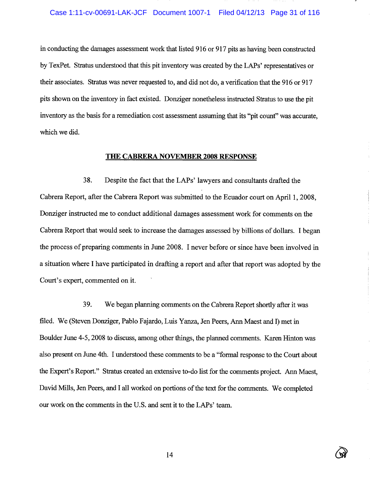in conducting the damages assessment work that listed 916 or 917 pits as having been constructed by TexPet. Stratus understood that this pit inventory was created by the LAPs' representatives or their associates. Stratus was never requested to, and did not do, a verification that the 916 or 917 pits shown on the inventory in fact existed. Donziger nonetheless instructed Stratus to use the pit inventory as the basis for a remediation cost assessment assuming that its "pit count" was accurate, which we did.

#### **THE CABRERA NOVEMBER 2008 RESPONSE**

38. Despite the fact that the LAPs' lawyers and consultants drafted the Cabrera Report, after the Cabrera Report was submitted to the Ecuador court on April 1, 2008, Donziger instructed me to conduct additional damages assessment work for comments on the Cabrera Report that would seek to increase the damages assessed by billions of dollars. I began the process of preparing comments in June 2008. I never before or since have been involved in a situation where I have participated in drafting a report and after that report was adopted by the Court's expert, commented on it.

39. We began planning comments on the Cabrera Report shortly after it was filed. We (Steven Donziger, Pablo Fajardo, Luis Yanza, Jen Peers, Ann Maest and I) met in Boulder June 4-5, 2008 to discuss, among other things, the planned comments. Karen Hinton was also present on June 4th. I understood these comments to be a "formal response to the Court about the Expert's Report." Stratus created an extensive to-do list for the comments project. Ann Maest, David Mills, Jen Peers, and I all worked on portions of the text for the comments. We completed our work on the comments in the U.S. and sent it to the LAPs' team.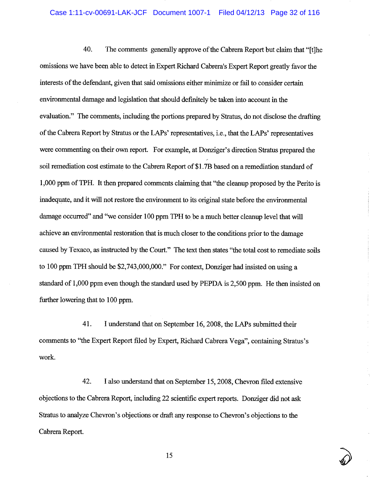40. The comments generally approve of the Cabrera Report but claim that "[t] he omissions we have been able to detect in Expert Richard Cabrera's Expert Report greatly favor the interests of the defendant, given that said omissions either minimize or fail to consider certain environmental damage and legislation that should definitely be taken into account in the evaluation." The comments, including the portions prepared by Stratus, do not disclose the drafting of the Cabrera Report by Stratus or the LAPs' representatives, i.e., that the LAPs' representatives were commenting on their own report. For example, at Donziger's direction Stratus prepared the soil remediation cost estimate to the Cabrera Report of \$1.7B based on a remediation standard of 1,000 ppm of TPH. It then prepared comments claiming that "the cleanup proposed by the Perito is inadequate, and it will not restore the environment to its original state before the environmental damage occurred" and "we consider 100 ppm TPH to be a much better cleanup level that will achieve an environmental restoration that is much closer to the conditions prior to the damage caused by Texaco, as instructed by the Court." The text then states "the total cost to remediate soils to 100 ppm TPH should be \$2,743,000,000." For context, Donziger had insisted on using a standard of 1,000 ppm even though the standard used by PEPDA is 2,500 ppm. He then insisted on further lowering that to 100 ppm.

41. I understand that on September 16, 2008, the LAPs submitted their comments to "the Expert Report filed by Expert, Richard Cabrera Vega", containing Stratus's work.

42. I also understand that on September 15, 2008, Chevron filed extensive objections to the Cabrera Report, including 22 scientific expert reports. Donziger did not ask Stratus to analyze Chevron's objections or draft any response to Chevron's objections to the Cabrera Report.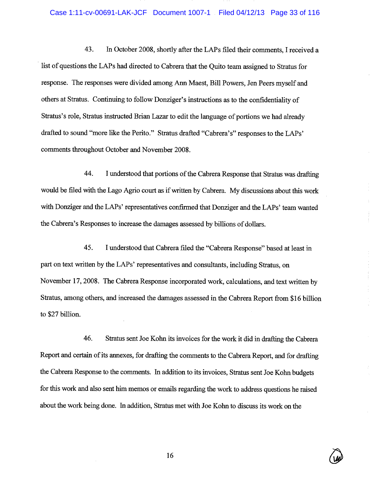# Case 1:11-cv-00691-LAK-JCF Document 1007-1 Filed 04/12/13 Page 33 of 116

43. In October 2008, shortly after the LAPs filed their comments, I received a list of questions the LAPs had directed to Cabrera that the Quito team assigned to Stratus for response. The responses were divided among Ann Maest, Bill Powers, Jen Peers myself and others at Stratus. Continuing to follow Donziger's instructions as to the confidentiality of Stratus's role, Stratus instructed Brian Lazar to edit the language of portions we had already drafted to sound "more like the Perito." Stratus drafted "Cabrera's" responses to the LAPs' comments throughout October and November 2008.

44. I understood that portions of the Cabrera Response that Stratus was drafting would be filed with the Lago Agrio court as if written by Cabrera. My discussions about this work with Donziger and the LAPs' representatives confirmed that Donziger and the LAPs' team wanted the Cabrera's Responses to increase the damages assessed by billions of dollars.

45. I understood that Cabrera filed the "Cabrera Response" based at least in part on text written by the LAPs' representatives and consultants, including Stratus, on November 17, 2008. The Cabrera Response incorporated work, calculations, and text written by Stratus, among others, and increased the damages assessed in the Cabrera Report from \$16 billion to \$27 billion.

46. Stratus sent Joe Kohn its invoices for the work it did in drafting the Cabrera Report and certain of its annexes, for drafting the comments to the Cabrera Report, and for drafting the Cabrera Response to the comments. In addition to its invoices, Stratus sent Joe Kohn budgets for this work and also sent him memos or emails regarding the work to address questions he raised about the work being done. In addition, Stratus met with Joe Kohn to discuss its work on the

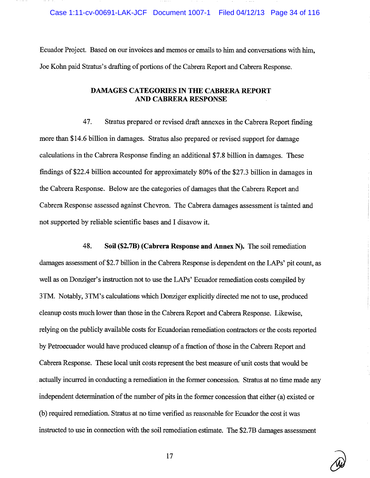Ecuador Project. Based on our invoices and memos or emails to him and conversations with him, Joe Kohn paid Stratus's drafting of portions of the Cabrera Report and Cabrera Response.

# **DAMAGES CATEGORIES IN THE CABRERA REPORT AND CABRERA RESPONSE**

47. Stratus prepared or revised draft annexes in the Cabrera Report finding more than \$14.6 billion in damages. Stratus also prepared or revised support for damage calculations in the Cabrera Response finding an additional \$7.8 billion in damages. These findings of \$22.4 billion accounted for approximately 80% of the \$27.3 billion in damages in the Cabrera Response. Below are the categories of damages that the Cabrera Report and Cabrera Response assessed against Chevron. The Cabrera damages assessment is tainted and not supported by reliable scientific bases and I disavow it.

48. Soil (\$2.7B) (Cabrera Response and Annex N). The soil remediation damages assessment of \$2.7 billion in the Cabrera Response is dependent on the LAPs' pit count, as well as on Donziger's instruction not to use the LAPs' Ecuador remediation costs compiled by 3TM. Notably, 3TM's calculations which Donziger explicitly directed me not to use, produced cleanup costs much lower than those in the Cabrera Report and Cabrera Response. Likewise, relying on the publicly available costs for Ecuadorian remediation contractors or the costs reported by Petroecuador would have produced cleanup of a fraction of those in the Cabrera Report and Cabrera Response. These local unit costs represent the best measure of unit costs that would be actually incurred in conducting a remediation in the former concession. Stratus at no time made any independent determination of the number of pits in the former concession that either (a) existed or (b) required remediation. Stratus at no time verified as reasonable for Ecuador the cost it was instructed to use in connection with the soil remediation estimate. The \$2.7B damages assessment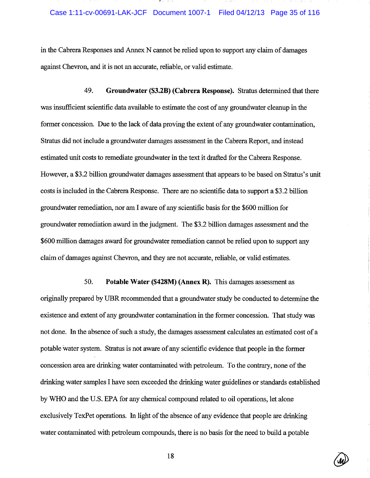in the Cabrera Responses and Annex N cannot be relied upon to support any claim of damages against Chevron, and it is not an accurate, reliable, or valid estimate.

49. Groundwater (\$3.2B) (Cabrera Response). Stratus determined that there was insufficient scientific data available to estimate the cost of any groundwater cleanup in the former concession. Due to the lack of data proving the extent of any groundwater contamination, Stratus did not include a groundwater damages assessment in the Cabrera Report, and instead estimated unit costs to remediate groundwater in the text it drafted for the Cabrera Response. However, a \$3.2 billion groundwater damages assessment that appears to be based on Stratus's unit costs is included in the Cabrera Response. There are no scientific data to support a \$3.2 billion groundwater remediation, nor am I aware of any scientific basis for the \$600 million for groundwater remediation award in the judgment. The \$3.2 billion damages assessment and the \$600 million damages award for groundwater remediation cannot be relied upon to support any claim of damages against Chevron, and they are not accurate, reliable, or valid estimates.

50. Potable Water (\$428M) (Annex R). This damages assessment as originally prepared by UBR recommended that a groundwater study be conducted to determine the existence and extent of any groundwater contamination in the former concession. That study was not done. In the absence of such a study, the damages assessment calculates an estimated cost of a potable water system. Stratus is not aware of any scientific evidence that people in the former concession area are drinking water contaminated with petroleum. To the contrary, none of the drinking water samples I have seen exceeded the drinking water guidelines or standards established by WHO and the U.S. EPA for any chemical compound related to oil operations, let alone exclusively TexPet operations. In light of the absence of any evidence that people are drinking water contaminated with petroleum compounds, there is no basis for the need to build a potable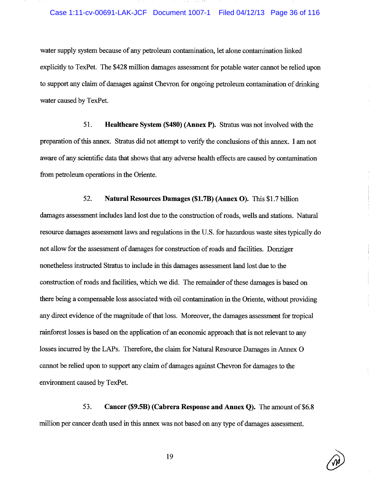# Case 1:11-cv-00691-LAK-JCF Document 1007-1 Filed 04/12/13 Page 36 of 116

water supply system because of any petroleum contamination, let alone contamination linked explicitly to TexPet. The \$428 million damages assessment for potable water cannot be relied upon to support any claim of damages against Chevron for ongoing petroleum contamination of drinking water caused by TexPet.

51. Healthcare System (\$480) (Annex P). Stratus was not involved with the preparation of this annex. Stratus did not attempt to verify the conclusions of this annex. I am not aware of any scientific data that shows that any adverse health effects are caused by contamination from petroleum operations in the Oriente.

52. **Natural Resources Damages (\$1.7B) (Annex O).** This \$1.7 billion damages assessment includes land lost due to the construction of roads, wells and stations. Natural resource damages assessment laws and regulations in the U.S. for hazardous waste sites typically do not allow for the assessment of damages for construction of roads and facilities. Donziger nonetheless instructed Stratus to include in this damages assessment land lost due to the construction of roads and facilities, which we did. The remainder of these damages is based on there being a compensable loss associated with oil contamination in the Oriente, without providing any direct evidence of the magnitude of that loss. Moreover, the damages assessment for tropical rainforest losses is based on the application of an economic approach that is not relevant to any losses incurred by the LAPs. Therefore, the claim for Natural Resource Damages in Annex O cannot be relied upon to support any claim of damages against Chevron for damages to the environment caused by TexPet.

53. Cancer (\$9.5B) (Cabrera Response and Annex Q). The amount of \$6.8 million per cancer death used in this annex was not based on any type of damages assessment.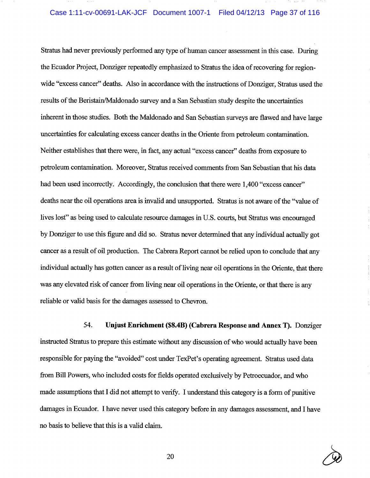Stratus had never previously performed any type of human cancer assessment in this case. During the Ecuador Project, Donziger repeatedly emphasized to Stratus the idea of recovering for regionwide "excess cancer" deaths. Also in accordance with the instructions of Donziger, Stratus used the results of the Beristain/Maldonado survey and a San Sebastian study despite the uncertainties inherent in those studies. Both the Maldonado and San Sebastian surveys are flawed and have large uncertainties for calculating excess cancer deaths in the Oriente from petroleum contamination. Neither establishes that there were, in fact, any actual "excess cancer" deaths from exposure to petroleum contamination. Moreover, Stratus received comments from San Sebastian that his data had been used incorrectly. Accordingly, the conclusion that there were 1,400 "excess cancer" deaths near the oil operations area is invalid and unsupported. Stratus is not aware of the "value of lives lost" as being used to calculate resource damages in U.S. courts, but Stratus was encouraged by Donziger to use this figure and did so. Stratus never determined that any individual actually got cancer as a result of oil production. The Cabrera Report cannot be relied upon to conclude that any individual actually has gotten cancer as a result of living near oil operations in the Oriente, that there was any elevated risk of cancer from living near oil operations in the Oriente, or that there is any reliable or valid basis for the damages assessed to Chevron.

54. Unjust Enrichment (\$8.4B) (Cabrera Response and Annex T). Donziger instructed Stratus to prepare this estimate without any discussion of who would actually have been responsible for paying the "avoided" cost under TexPet's operating agreement. Stratus used data from Bill Powers, who included costs for fields operated exclusively by Petroecuador, and who made assumptions that I did not attempt to verify. I understand this category is a form of punitive damages in Ecuador. I have never used this category before in any damages assessment, and I have no basis to believe that this is a valid claim.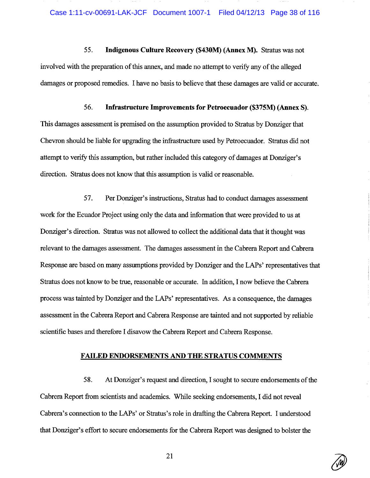55. Indigenous Culture Recovery (\$430M) (Annex M). Stratus was not involved with the preparation of this annex, and made no attempt to verify any of the alleged damages or proposed remedies. I have no basis to believe that these damages are valid or accurate.

56. Infrastructure Improvements for Petroecuador (\$375M) (Annex S). This damages assessment is premised on the assumption provided to Stratus by Donziger that Chevron should be liable for upgrading the infrastructure used by Petroecuador. Stratus did not attempt to verify this assumption, but rather included this category of damages at Donziger's direction. Stratus does not know that this assumption is valid or reasonable.

57. Per Donziger's instructions, Stratus had to conduct damages assessment work for the Ecuador Project using only the data and information that were provided to us at Donziger's direction. Stratus was not allowed to collect the additional data that it thought was relevant to the damages assessment. The damages assessment in the Cabrera Report and Cabrera Response are based on many assumptions provided by Donziger and the LAPs' representatives that Stratus does not know to be true, reasonable or accurate. In addition, I now believe the Cabrera process was tainted by Donziger and the LAPs' representatives. As a consequence, the damages assessment in the Cabrera Report and Cabrera Response are tainted and not supported by reliable scientific bases and therefore I disavow the Cabrera Report and Cabrera Response.

#### **FAILED ENDORSEMENTS AND THE STRATUS COMMENTS**

58. At Donziger's request and direction, I sought to secure endorsements of the Cabrera Report from scientists and academics. While seeking endorsements, I did not reveal Cabrera's connection to the LAPs' or Stratus's role in drafting the Cabrera Report. I understood that Donziger's effort to secure endorsements for the Cabrera Report was designed to bolster the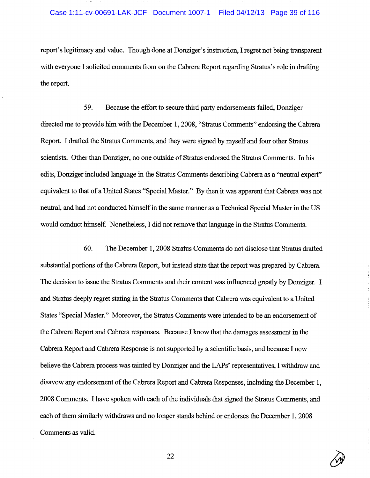report's legitimacy and value. Though done at Donziger's instruction, I regret not being transparent with everyone I solicited comments from on the Cabrera Report regarding Stratus's role in drafting the report.

59. Because the effort to secure third party endorsements failed, Donziger directed me to provide him with the December 1, 2008, "Stratus Comments" endorsing the Cabrera Report. I drafted the Stratus Comments, and they were signed by myself and four other Stratus scientists. Other than Donziger, no one outside of Stratus endorsed the Stratus Comments. In his edits, Donziger included language in the Stratus Comments describing Cabrera as a "neutral expert" equivalent to that of a United States "Special Master." By then it was apparent that Cabrera was not neutral, and had not conducted himself in the same manner as a Technical Special Master in the US would conduct himself. Nonetheless, I did not remove that language in the Stratus Comments.

60. The December 1, 2008 Stratus Comments do not disclose that Stratus drafted substantial portions of the Cabrera Report, but instead state that the report was prepared by Cabrera. The decision to issue the Stratus Comments and their content was influenced greatly by Donziger. I and Stratus deeply regret stating in the Stratus Comments that Cabrera was equivalent to a United States "Special Master." Moreover, the Stratus Comments were intended to be an endorsement of the Cabrera Report and Cabrera responses. Because I know that the damages assessment in the Cabrera Report and Cabrera Response is not supported by a scientific basis, and because I now believe the Cabrera process was tainted by Donziger and the LAPs' representatives, I withdraw and disavow any endorsement of the Cabrera Report and Cabrera Responses, including the December 1, 2008 Comments. I have spoken with each of the individuals that signed the Stratus Comments, and each of them similarly withdraws and no longer stands behind or endorses the December 1, 2008 Comments as valid.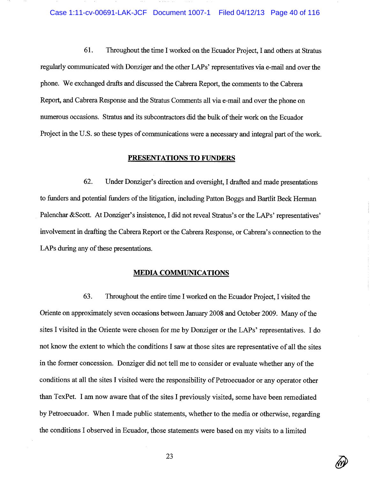61. Throughout the time I worked on the Ecuador Project, I and others at Stratus regularly communicated with Donziger and the other LAPs' representatives via e-mail and over the phone. We exchanged drafts and discussed the Cabrera Report, the comments to the Cabrera Report, and Cabrera Response and the Stratus Comments all via e-mail and over the phone on numerous occasions. Stratus and its subcontractors did the bulk of their work on the Ecuador Project in the U.S. so these types of communications were a necessary and integral part of the work.

#### **PRESENTATIONS TO FUNDERS**

62. Under Donziger's direction and oversight, I drafted and made presentations to funders and potential funders of the litigation, including Patton Boggs and Bartlit Beck Herman Palenchar &Scott. At Donziger's insistence, I did not reveal Stratus's or the LAPs' representatives' involvement in drafting the Cabrera Report or the Cabrera Response, or Cabrera's connection to the LAPs during any of these presentations.

# **MEDIA COMMUNICATIONS**

63. Throughout the entire time I worked on the Ecuador Project, I visited the Oriente on approximately seven occasions between January 2008 and October 2009. Many of the sites I visited in the Oriente were chosen for me by Donziger or the LAPs' representatives. I do not know the extent to which the conditions I saw at those sites are representative of all the sites in the former concession. Donziger did not tell me to consider or evaluate whether any of the conditions at all the sites I visited were the responsibility of Petroecuador or any operator other than TexPet. I am now aware that of the sites I previously visited, some have been remediated by Petroecuador. When I made public statements, whether to the media or otherwise, regarding the conditions I observed in Ecuador, those statements were based on my visits to a limited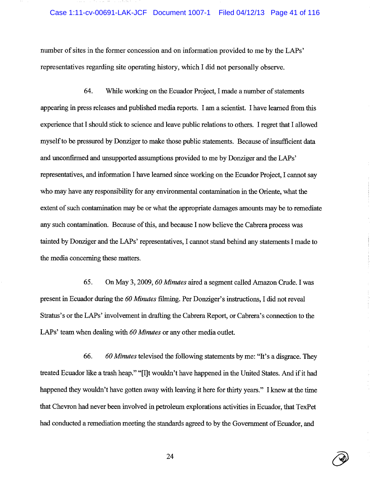# Case 1:11-cv-00691-LAK-JCF Document 1007-1 Filed 04/12/13 Page 41 of 116

number of sites in the former concession and on information provided to me by the LAPs' representatives regarding site operating history, which I did not personally observe.

64. While working on the Ecuador Project, I made a number of statements appearing in press releases and published media reports. I am a scientist. I have learned from this experience that I should stick to science and leave public relations to others. I regret that I allowed myself to be pressured by Donziger to make those public statements. Because of insufficient data and unconfirmed and unsupported assumptions provided to me by Donziger and the LAPs' representatives, and information I have learned since working on the Ecuador Project, I cannot say who may have any responsibility for any environmental contamination in the Oriente, what the extent of such contamination may be or what the appropriate damages amounts may be to remediate any such contamination. Because of this, and because I now believe the Cabrera process was tainted by Donziger and the LAPs' representatives, I cannot stand behind any statements I made to the media concerning these matters.

65. On May 3, 2009, 60 Minutes aired a segment called Amazon Crude. I was present in Ecuador during the 60 Minutes filming. Per Donziger's instructions, I did not reveal Stratus's or the LAPs' involvement in drafting the Cabrera Report, or Cabrera's connection to the LAPs' team when dealing with 60 Minutes or any other media outlet.

66. 60 Minutes televised the following statements by me: "It's a disgrace. They treated Ecuador like a trash heap." "[I]t wouldn't have happened in the United States. And if it had happened they wouldn't have gotten away with leaving it here for thirty years." I knew at the time that Chevron had never been involved in petroleum explorations activities in Ecuador, that TexPet had conducted a remediation meeting the standards agreed to by the Government of Ecuador, and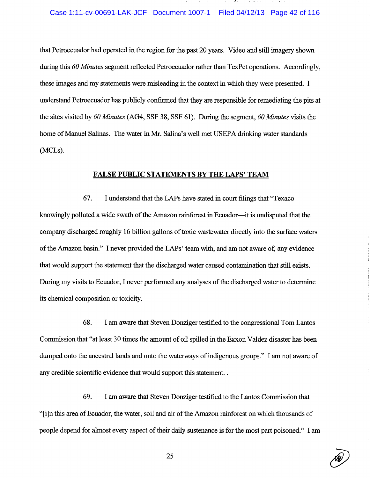# Case 1:11-cv-00691-LAK-JCF Document 1007-1 Filed 04/12/13 Page 42 of 116

that Petroecuador had operated in the region for the past 20 years. Video and still imagery shown during this 60 Minutes segment reflected Petroecuador rather than TexPet operations. Accordingly, these images and my statements were misleading in the context in which they were presented. I understand Petroecuador has publicly confirmed that they are responsible for remediating the pits at the sites visited by 60 Minutes (AG4, SSF 38, SSF 61). During the segment, 60 Minutes visits the home of Manuel Salinas. The water in Mr. Salina's well met USEPA drinking water standards (MCLs).

#### **FALSE PUBLIC STATEMENTS BY THE LAPS' TEAM**

67. I understand that the LAPs have stated in court filings that "Texaco knowingly polluted a wide swath of the Amazon rainforest in Ecuador—it is undisputed that the company discharged roughly 16 billion gallons of toxic wastewater directly into the surface waters of the Amazon basin." I never provided the LAPs' team with, and am not aware of, any evidence that would support the statement that the discharged water caused contamination that still exists. During my visits to Ecuador, I never performed any analyses of the discharged water to determine its chemical composition or toxicity.

68. I am aware that Steven Donziger testified to the congressional Tom Lantos Commission that "at least 30 times the amount of oil spilled in the Exxon Valdez disaster has been dumped onto the ancestral lands and onto the waterways of indigenous groups." I am not aware of any credible scientific evidence that would support this statement...

69. I am aware that Steven Donziger testified to the Lantos Commission that "[i]n this area of Ecuador, the water, soil and air of the Amazon rainforest on which thousands of people depend for almost every aspect of their daily sustenance is for the most part poisoned." I am

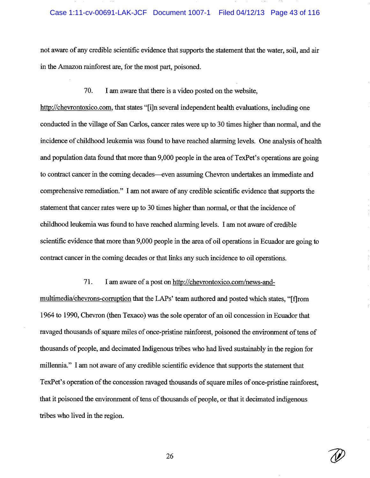# Case 1:11-cv-00691-LAK-JCF Document 1007-1 Filed 04/12/13 Page 43 of 116

not aware of any credible scientific evidence that supports the statement that the water, soil, and air in the Amazon rainforest are, for the most part, poisoned.

> 70. I am aware that there is a video posted on the website,

http://chevrontoxico.com, that states "[i]n several independent health evaluations, including one conducted in the village of San Carlos, cancer rates were up to 30 times higher than normal, and the incidence of childhood leukemia was found to have reached alarming levels. One analysis of health and population data found that more than 9,000 people in the area of TexPet's operations are going to contract cancer in the coming decades—even assuming Chevron undertakes an immediate and comprehensive remediation." I am not aware of any credible scientific evidence that supports the statement that cancer rates were up to 30 times higher than normal, or that the incidence of childhood leukemia was found to have reached alarming levels. I am not aware of credible scientific evidence that more than 9,000 people in the area of oil operations in Ecuador are going to contract cancer in the coming decades or that links any such incidence to oil operations.

#### 71. I am aware of a post on http://chevrontoxico.com/news-and-

multimedia/chevrons-corruption that the LAPs' team authored and posted which states, "[f]rom 1964 to 1990, Chevron (then Texaco) was the sole operator of an oil concession in Ecuador that ravaged thousands of square miles of once-pristine rainforest, poisoned the environment of tens of thousands of people, and decimated Indigenous tribes who had lived sustainably in the region for millennia." I am not aware of any credible scientific evidence that supports the statement that TexPet's operation of the concession ravaged thousands of square miles of once-pristine rainforest, that it poisoned the environment of tens of thousands of people, or that it decimated indigenous tribes who lived in the region.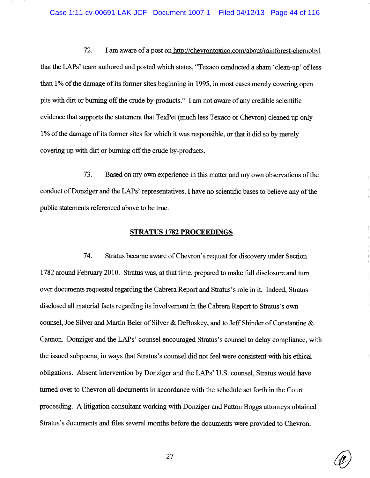72. I am aware of a post on http://chevrontoxico.com/about/rainforest-chernobyl that the LAPs' team authored and posted which states, "Texaco conducted a sham 'clean-up' of less than 1% of the damage of its former sites beginning in 1995, in most cases merely covering open pits with dirt or burning off the crude by-products." I am not aware of any credible scientific evidence that supports the statement that TexPet (much less Texaco or Chevron) cleaned up only 1% of the damage of its former sites for which it was responsible, or that it did so by merely covering up with dirt or burning off the crude by-products.

73. Based on my own experience in this matter and my own observations of the conduct of Donziger and the LAPs' representatives, I have no scientific bases to believe any of the public statements referenced above to be true.

#### **STRATUS 1782 PROCEEDINGS**

74. Stratus became aware of Chevron's request for discovery under Section 1782 around February 2010. Stratus was, at that time, prepared to make full disclosure and turn over documents requested regarding the Cabrera Report and Stratus's role in it. Indeed, Stratus disclosed all material facts regarding its involvement in the Cabrera Report to Stratus's own counsel, Joe Silver and Martin Beier of Silver & DeBoskey, and to Jeff Shinder of Constantine & Cannon. Donziger and the LAPs' counsel encouraged Stratus's counsel to delay compliance, with the issued subpoena, in ways that Stratus's counsel did not feel were consistent with his ethical obligations. Absent intervention by Donziger and the LAPs' U.S. counsel, Stratus would have turned over to Chevron all documents in accordance with the schedule set forth in the Court proceeding. A litigation consultant working with Donziger and Patton Boggs attorneys obtained Stratus's documents and files several months before the documents were provided to Chevron.